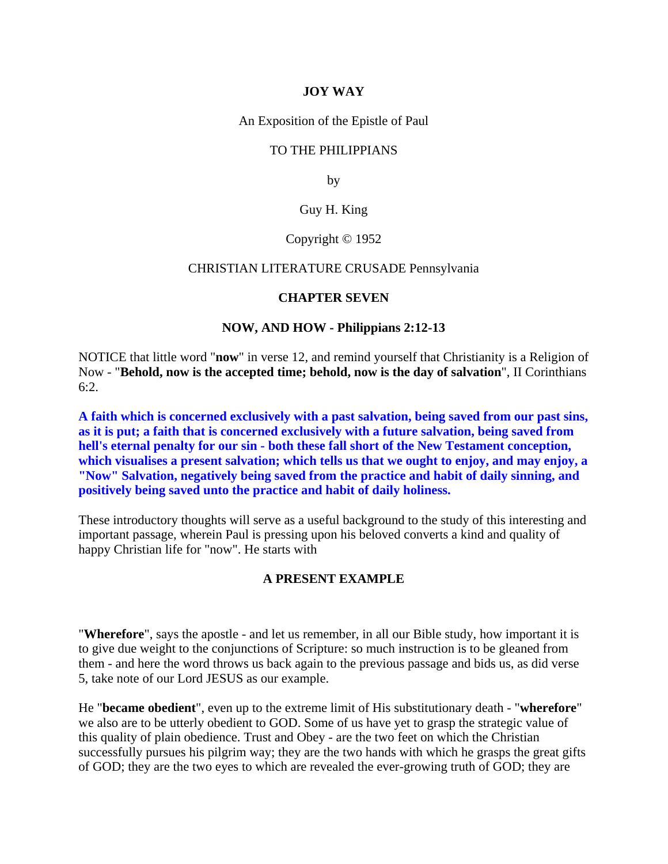### **JOY WAY**

An Exposition of the Epistle of Paul

### TO THE PHILIPPIANS

by

#### Guy H. King

#### Copyright © 1952

#### CHRISTIAN LITERATURE CRUSADE Pennsylvania

#### **CHAPTER SEVEN**

#### **NOW, AND HOW - Philippians 2:12-13**

NOTICE that little word "**now**" in verse 12, and remind yourself that Christianity is a Religion of Now - "**Behold, now is the accepted time; behold, now is the day of salvation**", II Corinthians 6:2.

**A faith which is concerned exclusively with a past salvation, being saved from our past sins, as it is put; a faith that is concerned exclusively with a future salvation, being saved from hell's eternal penalty for our sin - both these fall short of the New Testament conception, which visualises a present salvation; which tells us that we ought to enjoy, and may enjoy, a "Now" Salvation, negatively being saved from the practice and habit of daily sinning, and positively being saved unto the practice and habit of daily holiness.**

These introductory thoughts will serve as a useful background to the study of this interesting and important passage, wherein Paul is pressing upon his beloved converts a kind and quality of happy Christian life for "now". He starts with

#### **A PRESENT EXAMPLE**

"**Wherefore**", says the apostle - and let us remember, in all our Bible study, how important it is to give due weight to the conjunctions of Scripture: so much instruction is to be gleaned from them - and here the word throws us back again to the previous passage and bids us, as did verse 5, take note of our Lord JESUS as our example.

He "**became obedient**", even up to the extreme limit of His substitutionary death - "**wherefore**" we also are to be utterly obedient to GOD. Some of us have yet to grasp the strategic value of this quality of plain obedience. Trust and Obey - are the two feet on which the Christian successfully pursues his pilgrim way; they are the two hands with which he grasps the great gifts of GOD; they are the two eyes to which are revealed the ever-growing truth of GOD; they are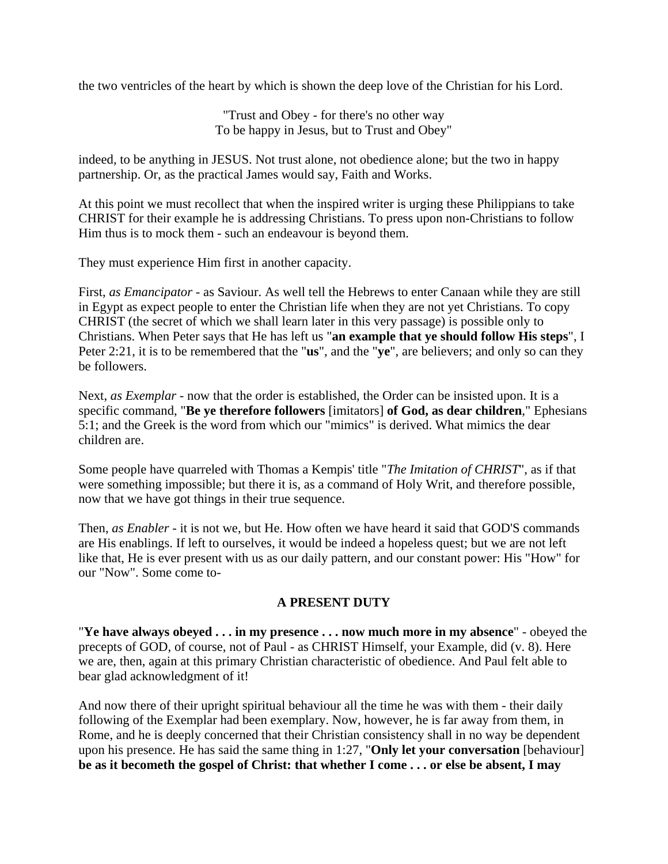the two ventricles of the heart by which is shown the deep love of the Christian for his Lord.

"Trust and Obey - for there's no other way To be happy in Jesus, but to Trust and Obey"

indeed, to be anything in JESUS. Not trust alone, not obedience alone; but the two in happy partnership. Or, as the practical James would say, Faith and Works.

At this point we must recollect that when the inspired writer is urging these Philippians to take CHRIST for their example he is addressing Christians. To press upon non-Christians to follow Him thus is to mock them - such an endeavour is beyond them.

They must experience Him first in another capacity.

First, *as Emancipator* - as Saviour. As well tell the Hebrews to enter Canaan while they are still in Egypt as expect people to enter the Christian life when they are not yet Christians. To copy CHRIST (the secret of which we shall learn later in this very passage) is possible only to Christians. When Peter says that He has left us "**an example that ye should follow His steps**", I Peter 2:21, it is to be remembered that the "**us**", and the "**ye**", are believers; and only so can they be followers.

Next, *as Exemplar* - now that the order is established, the Order can be insisted upon. It is a specific command, "**Be ye therefore followers** [imitators] **of God, as dear children**," Ephesians 5:1; and the Greek is the word from which our "mimics" is derived. What mimics the dear children are.

Some people have quarreled with Thomas a Kempis' title "*The Imitation of CHRIST*", as if that were something impossible; but there it is, as a command of Holy Writ, and therefore possible, now that we have got things in their true sequence.

Then, *as Enabler* - it is not we, but He. How often we have heard it said that GOD'S commands are His enablings. If left to ourselves, it would be indeed a hopeless quest; but we are not left like that, He is ever present with us as our daily pattern, and our constant power: His "How" for our "Now". Some come to-

## **A PRESENT DUTY**

"**Ye have always obeyed . . . in my presence . . . now much more in my absence**" - obeyed the precepts of GOD, of course, not of Paul - as CHRIST Himself, your Example, did (v. 8). Here we are, then, again at this primary Christian characteristic of obedience. And Paul felt able to bear glad acknowledgment of it!

And now there of their upright spiritual behaviour all the time he was with them - their daily following of the Exemplar had been exemplary. Now, however, he is far away from them, in Rome, and he is deeply concerned that their Christian consistency shall in no way be dependent upon his presence. He has said the same thing in 1:27, "**Only let your conversation** [behaviour] **be as it becometh the gospel of Christ: that whether I come . . . or else be absent, I may**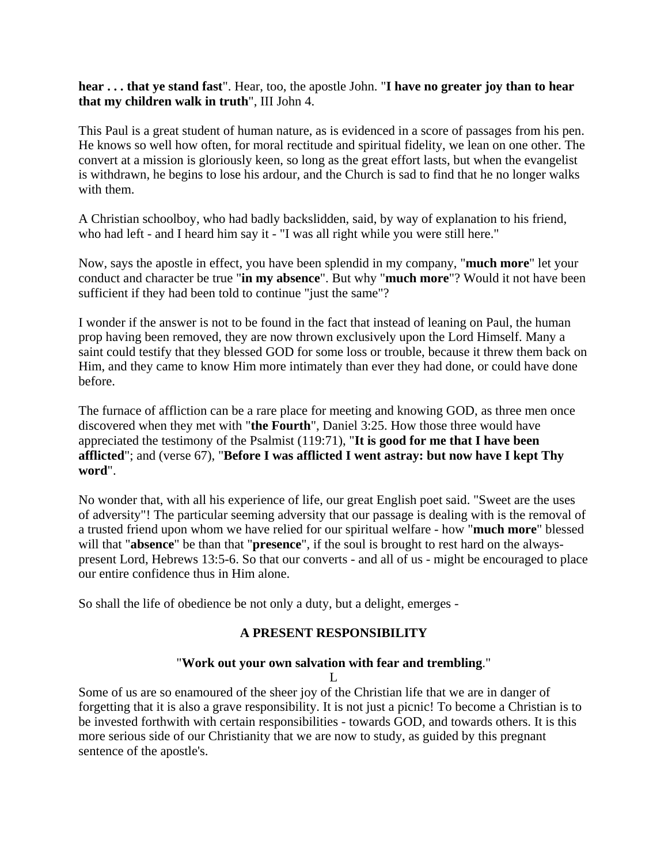## **hear . . . that ye stand fast**". Hear, too, the apostle John. "**I have no greater joy than to hear that my children walk in truth**", III John 4.

This Paul is a great student of human nature, as is evidenced in a score of passages from his pen. He knows so well how often, for moral rectitude and spiritual fidelity, we lean on one other. The convert at a mission is gloriously keen, so long as the great effort lasts, but when the evangelist is withdrawn, he begins to lose his ardour, and the Church is sad to find that he no longer walks with them.

A Christian schoolboy, who had badly backslidden, said, by way of explanation to his friend, who had left - and I heard him say it - "I was all right while you were still here."

Now, says the apostle in effect, you have been splendid in my company, "**much more**" let your conduct and character be true "**in my absence**". But why "**much more**"? Would it not have been sufficient if they had been told to continue "just the same"?

I wonder if the answer is not to be found in the fact that instead of leaning on Paul, the human prop having been removed, they are now thrown exclusively upon the Lord Himself. Many a saint could testify that they blessed GOD for some loss or trouble, because it threw them back on Him, and they came to know Him more intimately than ever they had done, or could have done before.

The furnace of affliction can be a rare place for meeting and knowing GOD, as three men once discovered when they met with "**the Fourth**", Daniel 3:25. How those three would have appreciated the testimony of the Psalmist (119:71), "**It is good for me that I have been afflicted**"; and (verse 67), "**Before I was afflicted I went astray: but now have I kept Thy word**".

No wonder that, with all his experience of life, our great English poet said. "Sweet are the uses of adversity"! The particular seeming adversity that our passage is dealing with is the removal of a trusted friend upon whom we have relied for our spiritual welfare - how "**much more**" blessed will that "**absence**" be than that "**presence**", if the soul is brought to rest hard on the alwayspresent Lord, Hebrews 13:5-6. So that our converts - and all of us - might be encouraged to place our entire confidence thus in Him alone.

So shall the life of obedience be not only a duty, but a delight, emerges -

# **A PRESENT RESPONSIBILITY**

## "**Work out your own salvation with fear and trembling**."

 $\mathbf{L}$ 

Some of us are so enamoured of the sheer joy of the Christian life that we are in danger of forgetting that it is also a grave responsibility. It is not just a picnic! To become a Christian is to be invested forthwith with certain responsibilities - towards GOD, and towards others. It is this more serious side of our Christianity that we are now to study, as guided by this pregnant sentence of the apostle's.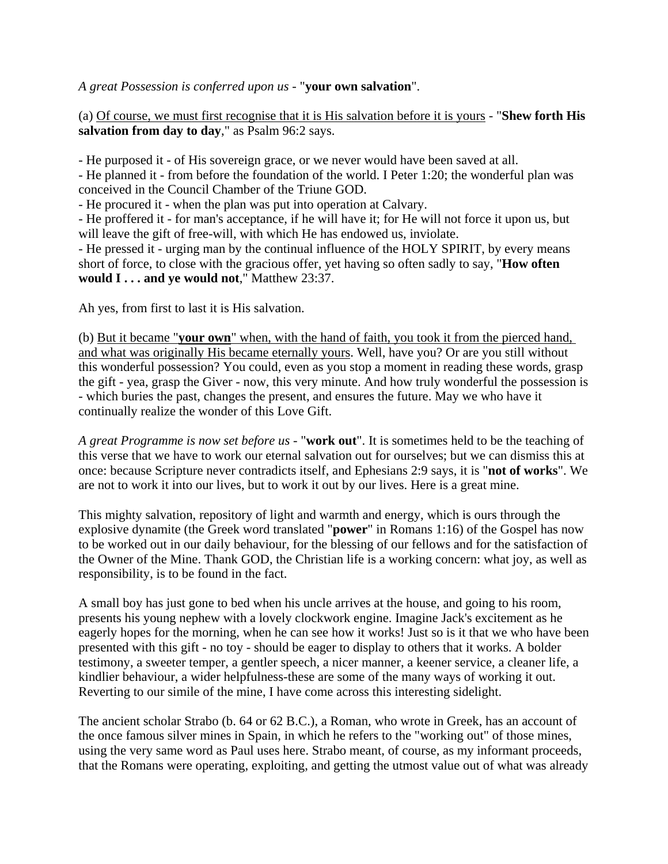*A great Possession is conferred upon us* - "**your own salvation**".

(a) Of course, we must first recognise that it is His salvation before it is yours - "**Shew forth His salvation from day to day**," as Psalm 96:2 says.

- He purposed it - of His sovereign grace, or we never would have been saved at all.

- He planned it - from before the foundation of the world. I Peter 1:20; the wonderful plan was conceived in the Council Chamber of the Triune GOD.

- He procured it - when the plan was put into operation at Calvary.

- He proffered it - for man's acceptance, if he will have it; for He will not force it upon us, but will leave the gift of free-will, with which He has endowed us, inviolate.

- He pressed it - urging man by the continual influence of the HOLY SPIRIT, by every means short of force, to close with the gracious offer, yet having so often sadly to say, "**How often would I . . . and ye would not**," Matthew 23:37.

Ah yes, from first to last it is His salvation.

(b) But it became "**your own**" when, with the hand of faith, you took it from the pierced hand, and what was originally His became eternally yours. Well, have you? Or are you still without this wonderful possession? You could, even as you stop a moment in reading these words, grasp the gift - yea, grasp the Giver - now, this very minute. And how truly wonderful the possession is - which buries the past, changes the present, and ensures the future. May we who have it continually realize the wonder of this Love Gift.

*A great Programme is now set before us* - "**work out**". It is sometimes held to be the teaching of this verse that we have to work our eternal salvation out for ourselves; but we can dismiss this at once: because Scripture never contradicts itself, and Ephesians 2:9 says, it is "**not of works**". We are not to work it into our lives, but to work it out by our lives. Here is a great mine.

This mighty salvation, repository of light and warmth and energy, which is ours through the explosive dynamite (the Greek word translated "**power**" in Romans 1:16) of the Gospel has now to be worked out in our daily behaviour, for the blessing of our fellows and for the satisfaction of the Owner of the Mine. Thank GOD, the Christian life is a working concern: what joy, as well as responsibility, is to be found in the fact.

A small boy has just gone to bed when his uncle arrives at the house, and going to his room, presents his young nephew with a lovely clockwork engine. Imagine Jack's excitement as he eagerly hopes for the morning, when he can see how it works! Just so is it that we who have been presented with this gift - no toy - should be eager to display to others that it works. A bolder testimony, a sweeter temper, a gentler speech, a nicer manner, a keener service, a cleaner life, a kindlier behaviour, a wider helpfulness-these are some of the many ways of working it out. Reverting to our simile of the mine, I have come across this interesting sidelight.

The ancient scholar Strabo (b. 64 or 62 B.C.), a Roman, who wrote in Greek, has an account of the once famous silver mines in Spain, in which he refers to the "working out" of those mines, using the very same word as Paul uses here. Strabo meant, of course, as my informant proceeds, that the Romans were operating, exploiting, and getting the utmost value out of what was already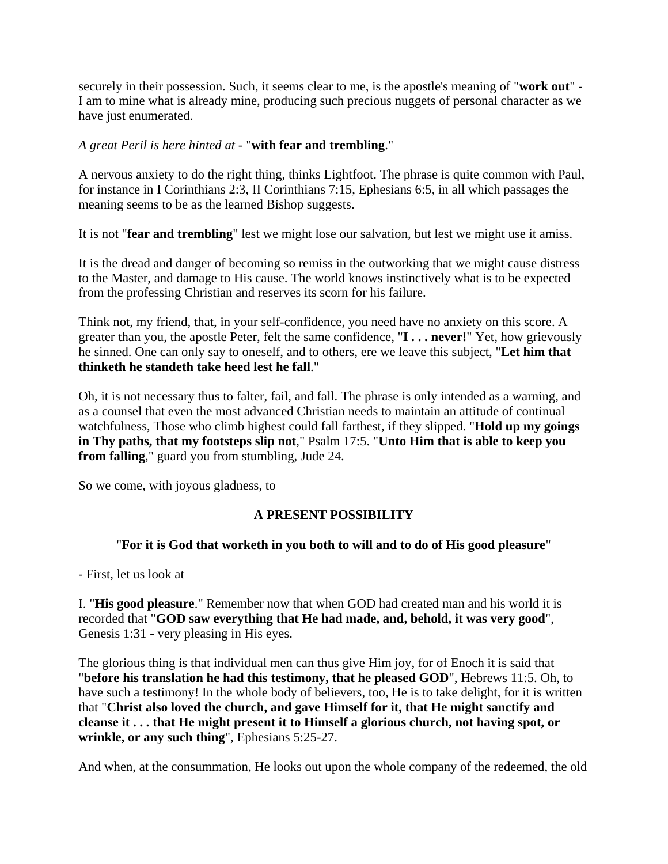securely in their possession. Such, it seems clear to me, is the apostle's meaning of "**work out**" - I am to mine what is already mine, producing such precious nuggets of personal character as we have just enumerated.

## *A great Peril is here hinted at* - "**with fear and trembling**."

A nervous anxiety to do the right thing, thinks Lightfoot. The phrase is quite common with Paul, for instance in I Corinthians 2:3, II Corinthians 7:15, Ephesians 6:5, in all which passages the meaning seems to be as the learned Bishop suggests.

It is not "**fear and trembling**" lest we might lose our salvation, but lest we might use it amiss.

It is the dread and danger of becoming so remiss in the outworking that we might cause distress to the Master, and damage to His cause. The world knows instinctively what is to be expected from the professing Christian and reserves its scorn for his failure.

Think not, my friend, that, in your self-confidence, you need have no anxiety on this score. A greater than you, the apostle Peter, felt the same confidence, "**I . . . never!**" Yet, how grievously he sinned. One can only say to oneself, and to others, ere we leave this subject, "**Let him that thinketh he standeth take heed lest he fall**."

Oh, it is not necessary thus to falter, fail, and fall. The phrase is only intended as a warning, and as a counsel that even the most advanced Christian needs to maintain an attitude of continual watchfulness, Those who climb highest could fall farthest, if they slipped. "**Hold up my goings in Thy paths, that my footsteps slip not**," Psalm 17:5. "**Unto Him that is able to keep you from falling**," guard you from stumbling, Jude 24.

So we come, with joyous gladness, to

# **A PRESENT POSSIBILITY**

## "**For it is God that worketh in you both to will and to do of His good pleasure**"

- First, let us look at

I. "**His good pleasure**." Remember now that when GOD had created man and his world it is recorded that "**GOD saw everything that He had made, and, behold, it was very good**", Genesis 1:31 - very pleasing in His eyes.

The glorious thing is that individual men can thus give Him joy, for of Enoch it is said that "**before his translation he had this testimony, that he pleased GOD**", Hebrews 11:5. Oh, to have such a testimony! In the whole body of believers, too, He is to take delight, for it is written that "**Christ also loved the church, and gave Himself for it, that He might sanctify and cleanse it . . . that He might present it to Himself a glorious church, not having spot, or wrinkle, or any such thing**", Ephesians 5:25-27.

And when, at the consummation, He looks out upon the whole company of the redeemed, the old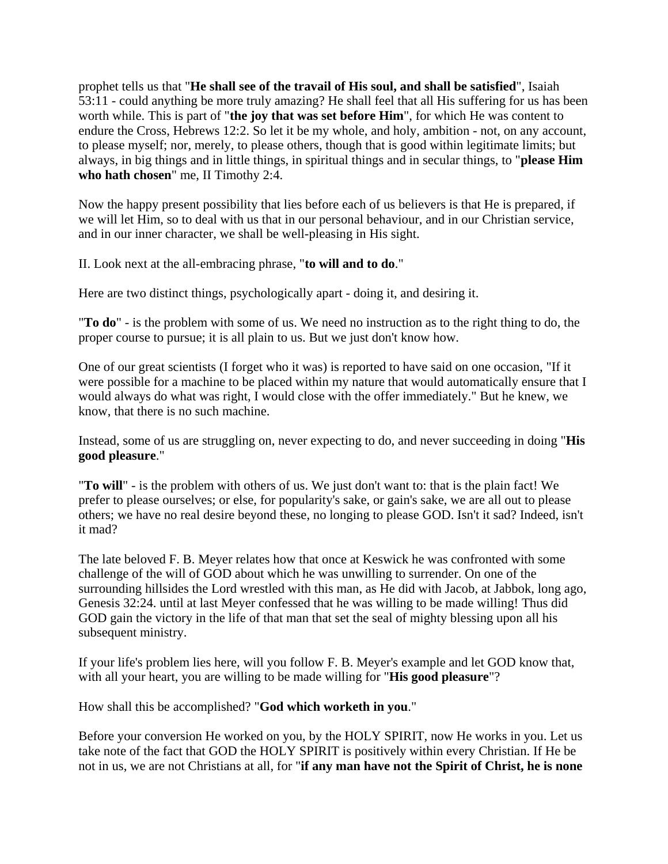prophet tells us that "**He shall see of the travail of His soul, and shall be satisfied**", Isaiah 53:11 - could anything be more truly amazing? He shall feel that all His suffering for us has been worth while. This is part of "**the joy that was set before Him**", for which He was content to endure the Cross, Hebrews 12:2. So let it be my whole, and holy, ambition - not, on any account, to please myself; nor, merely, to please others, though that is good within legitimate limits; but always, in big things and in little things, in spiritual things and in secular things, to "**please Him who hath chosen**" me, II Timothy 2:4.

Now the happy present possibility that lies before each of us believers is that He is prepared, if we will let Him, so to deal with us that in our personal behaviour, and in our Christian service, and in our inner character, we shall be well-pleasing in His sight.

II. Look next at the all-embracing phrase, "**to will and to do**."

Here are two distinct things, psychologically apart - doing it, and desiring it.

"**To do**" - is the problem with some of us. We need no instruction as to the right thing to do, the proper course to pursue; it is all plain to us. But we just don't know how.

One of our great scientists (I forget who it was) is reported to have said on one occasion, "If it were possible for a machine to be placed within my nature that would automatically ensure that I would always do what was right, I would close with the offer immediately." But he knew, we know, that there is no such machine.

Instead, some of us are struggling on, never expecting to do, and never succeeding in doing "**His good pleasure**."

"**To will**" - is the problem with others of us. We just don't want to: that is the plain fact! We prefer to please ourselves; or else, for popularity's sake, or gain's sake, we are all out to please others; we have no real desire beyond these, no longing to please GOD. Isn't it sad? Indeed, isn't it mad?

The late beloved F. B. Meyer relates how that once at Keswick he was confronted with some challenge of the will of GOD about which he was unwilling to surrender. On one of the surrounding hillsides the Lord wrestled with this man, as He did with Jacob, at Jabbok, long ago, Genesis 32:24. until at last Meyer confessed that he was willing to be made willing! Thus did GOD gain the victory in the life of that man that set the seal of mighty blessing upon all his subsequent ministry.

If your life's problem lies here, will you follow F. B. Meyer's example and let GOD know that, with all your heart, you are willing to be made willing for "**His good pleasure**"?

How shall this be accomplished? "**God which worketh in you**."

Before your conversion He worked on you, by the HOLY SPIRIT, now He works in you. Let us take note of the fact that GOD the HOLY SPIRIT is positively within every Christian. If He be not in us, we are not Christians at all, for "**if any man have not the Spirit of Christ, he is none**